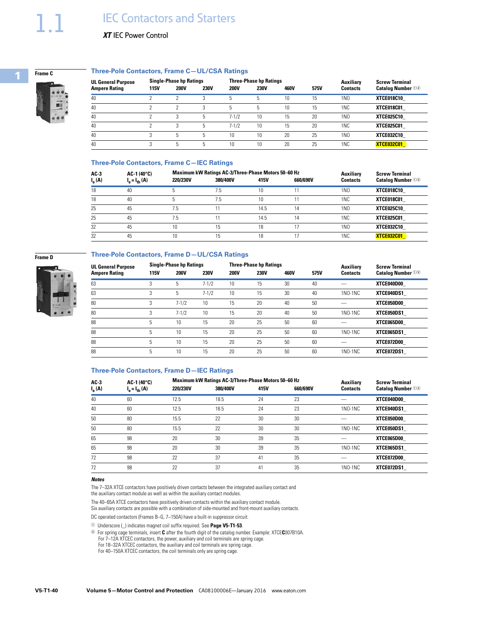

### **Three-Pole Contactors, Frame C—UL/CSA Ratings**

| <b>UL General Purpose</b> | <b>Single-Phase hp Ratings</b> |             |             |             | <b>Three-Phase hp Ratings</b> |             | <b>Auxiliarv</b> | <b>Screw Terminal</b> |                          |
|---------------------------|--------------------------------|-------------|-------------|-------------|-------------------------------|-------------|------------------|-----------------------|--------------------------|
| <b>Ampere Rating</b>      | 115V                           | <b>200V</b> | <b>230V</b> | <b>200V</b> | <b>230V</b>                   | <b>460V</b> | <b>575V</b>      | <b>Contacts</b>       | <b>Catalog Number</b> 02 |
| 40                        |                                |             | 3           | 5           | 5                             | 10          | 15               | 1 <sub>N</sub>        | <b>XTCE018C10</b>        |
| 40                        |                                |             | 3           | 5           | 5                             | 10          | 15               | 1 <sub>NC</sub>       | XTCE018C01               |
| 40                        |                                | 3           | 5           | $7 - 1/2$   | 10                            | 15          | 20               | 1 <sub>N</sub>        | <b>XTCE025C10</b>        |
| 40                        |                                | 3           | 5           | $7 - 1/2$   | 10                            | 15          | 20               | 1N <sub>C</sub>       | <b>XTCE025C01</b>        |
| 40                        |                                | h           | 5           | 10          | 10                            | 20          | 25               | 1 <sub>N</sub>        | XTCE032C10               |
| 40                        |                                | ۰.          | 5           | 10          | 10                            | 20          | 25               | 1 <sub>NC</sub>       | XTCE032C01               |

# **Three-Pole Contactors, Frame C—IEC Ratings**

| $AC-3$<br>$I_{\rm e}(\mathbf{A})$ | $AC-1(40^{\circ}C)$<br>$I_{\rm e} = I_{\rm th}$ (A) | 220/230V | <b>Maximum kW Ratings AC-3/Three-Phase Motors 50-60 Hz</b><br>380/400V | 415V | 660/690V | <b>Auxiliarv</b><br><b>Contacts</b> | <b>Screw Terminal</b><br><b>Catalog Number</b> 02 |
|-----------------------------------|-----------------------------------------------------|----------|------------------------------------------------------------------------|------|----------|-------------------------------------|---------------------------------------------------|
| 18                                | 40                                                  |          | 7.5                                                                    | 10   |          | 1N <sub>0</sub>                     | XTCE018C10                                        |
| 18                                | 40                                                  | 5        | 7.5                                                                    | 10   |          | 1NC                                 | XTCE018C01                                        |
| 25                                | 45                                                  | 7.5      | 11                                                                     | 14.5 | 14       | 1N <sub>0</sub>                     | <b>XTCE025C10</b>                                 |
| 25                                | 45                                                  | 7.5      |                                                                        | 14.5 | 14       | 1NC                                 | XTCE025C01                                        |
| 32                                | 45                                                  | 10       | 15                                                                     | 18   | 17       | 1 <sub>N</sub>                      | XTCE032C10                                        |
| 32                                | 45                                                  | 10       | 15                                                                     | 18   |          | 1NC                                 | XTCE032C01                                        |

### **Three-Pole Contactors, Frame D—UL/CSA Ratings**



**Frame D**

| <b>UL General Purpose</b> | <b>Single-Phase hp Ratings</b> |             |                 |             | <b>Three-Phase hp Ratings</b> |             | Auxiliarv | <b>Screw Terminal</b> |                          |
|---------------------------|--------------------------------|-------------|-----------------|-------------|-------------------------------|-------------|-----------|-----------------------|--------------------------|
| <b>Ampere Rating</b>      | 115V                           | <b>200V</b> | <b>230V</b>     | <b>200V</b> | <b>230V</b>                   | <b>460V</b> | 575V      | <b>Contacts</b>       | <b>Catalog Number</b> 02 |
| 63                        | 3                              | 5           | $7 - 1/2$       | 10          | 15                            | 30          | 40        |                       | XTCE040D00               |
| 63                        | $\sim$<br>3                    | 5           | $7 - 1/2$       | 10          | 15                            | 30          | 40        | $1NO-1NC$             | XTCE040DS1               |
| 80                        | 3                              | $7 - 1/2$   | 10 <sup>°</sup> | 15          | 20                            | 40          | 50        |                       | XTCE050D00               |
| 80                        | 3                              | $7 - 1/2$   | 10              | 15          | 20                            | 40          | 50        | 1NO-1NC               | XTCE050DS1               |
| 88                        | 5                              | 10          | 15              | 20          | 25                            | 50          | 60        |                       | XTCE065D00               |
| 88                        | 5                              | 10          | 15              | 20          | 25                            | 50          | 60        | $1NO-1NC$             | XTCE065DS1               |
| 88                        | 5                              | 10          | 15              | 20          | 25                            | 50          | 60        |                       | XTCE072D00               |
| 88                        | 5                              | 10          | 15              | 20          | 25                            | 50          | 60        | 1NO-1NC               | XTCE072DS1               |

#### **Three-Pole Contactors, Frame D—IEC Ratings**

| $AC-3$                  | $AC-1(40^{\circ}C)$          |          | Maximum kW Ratings AC-3/Three-Phase Motors 50-60 Hz | Auxiliary | <b>Screw Terminal</b> |                 |                          |
|-------------------------|------------------------------|----------|-----------------------------------------------------|-----------|-----------------------|-----------------|--------------------------|
| $I_{\rm e}(\mathbf{A})$ | $I_{\rm e} = I_{\rm th}$ (A) | 220/230V | 380/400V                                            | 415V      | 660/690V              | <b>Contacts</b> | <b>Catalog Number</b> 02 |
| 40                      | 60                           | 12.5     | 18.5                                                | 24        | 23                    |                 | XTCE040D00               |
| 40                      | 60                           | 12.5     | 18.5                                                | 24        | 23                    | $1NO-1NC$       | XTCE040DS1               |
| 50                      | 80                           | 15.5     | 22                                                  | 30        | 30                    |                 | XTCE050D00               |
| 50                      | 80                           | 15.5     | 22                                                  | 30        | 30                    | $1NO-1NC$       | XTCE050DS1               |
| 65                      | 98                           | 20       | 30                                                  | 39        | 35                    |                 | XTCE065D00               |
| 65                      | 98                           | 20       | 30                                                  | 39        | 35                    | $1NO-1NC$       | XTCE065DS1               |
| 72                      | 98                           | 22       | 37                                                  | 41        | 35                    |                 | XTCE072D00               |
| 72                      | 98                           | 22       | 37                                                  | 41        | 35                    | 1NO-1NC         | XTCE072DS1               |

### *Notes*

The 7–32A XTCE contactors have positively driven contacts between the integrated auxiliary contact and the auxiliary contact module as well as within the auxiliary contact modules.

The 40–65A XTCE contactors have positively driven contacts within the auxiliary contact module. Six auxiliary contacts are possible with a combination of side-mounted and front-mount auxiliary contacts.

DC operated contactors (Frames B–G, 7–150A) have a built-in suppressor circuit.

<sup>1</sup>Underscore (\_) indicates magnet coil suffix required. See **Page V5-T1-53**.

<sup>2</sup>For spring cage terminals, insert **C** after the fourth digit of the catalog number. Example: XTCE**C**007B10A.

For 7–12A XTCEC contactors, the power, auxiliary and coil terminals are spring cage.

For 18–32A XTCEC contactors, the auxiliary and coil terminals are spring cage.

For 40–150A XTCEC contactors, the coil terminals only are spring cage.

**1**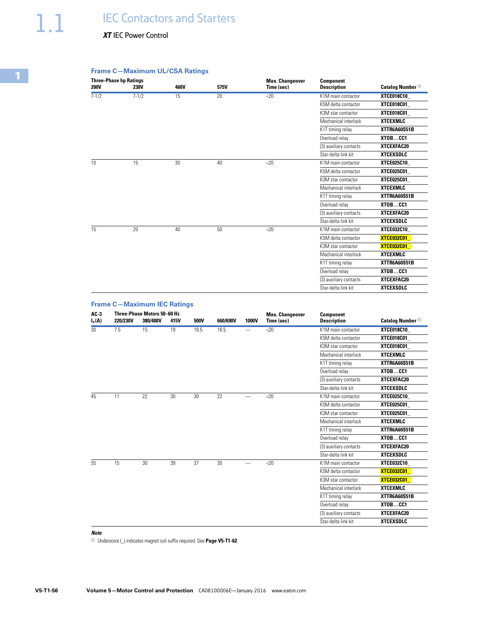# *XT* IEC Power Control

# **Frame C—Maximum UL/CSA Ratings**

| <b>200V</b> | <b>Three-Phase hp Ratings</b><br>230V | 460V | 575V | <b>Max. Changeover</b><br>Time (sec) | <b>Component</b><br><b>Description</b> | <b>Catalog Number</b> <sup>①</sup> |
|-------------|---------------------------------------|------|------|--------------------------------------|----------------------------------------|------------------------------------|
| $7 - 1/2$   | $7 - 1/2$                             | 15   | 20   | $<$ 20                               | K1M main contactor                     | <b>XTCE018C10</b>                  |
|             |                                       |      |      |                                      | K5M delta contactor                    | <b>XTCE018C01</b>                  |
|             |                                       |      |      |                                      | K3M star contactor                     | XTCE018C01_                        |
|             |                                       |      |      |                                      | Mechanical interlock                   | <b>XTCEXMLC</b>                    |
|             |                                       |      |      |                                      | K1T timing relay                       | XTTR6A60S51B                       |
|             |                                       |      |      |                                      | Overload relav                         | XTOBCC1                            |
|             |                                       |      |      |                                      | (3) auxiliary contacts                 | XTCEXFAC20                         |
|             |                                       |      |      |                                      | Star-delta link kit                    | <b>XTCEXSDLC</b>                   |
| 10          | 15                                    | 30   | 40   | <20                                  | K1M main contactor                     | <b>XTCE025C10</b>                  |
|             |                                       |      |      |                                      | K5M delta contactor                    | XTCE025C01_                        |
|             |                                       |      |      |                                      | K3M star contactor                     | <b>XTCE025C01</b>                  |
|             |                                       |      |      |                                      | Mechanical interlock                   | <b>XTCEXMLC</b>                    |
|             |                                       |      |      |                                      | K1T timing relay                       | XTTR6A60S51B                       |
|             |                                       |      |      |                                      | Overload relay                         | XTOBCC1                            |
|             |                                       |      |      |                                      | (3) auxiliary contacts                 | XTCEXFAC20                         |
|             |                                       |      |      |                                      | Star-delta link kit                    | <b>XTCEXSDLC</b>                   |
| 15          | 20                                    | 40   | 50   | $<$ 20                               | K1M main contactor                     | <b>XTCE032C10</b>                  |
|             |                                       |      |      |                                      | K5M delta contactor                    | <b>XTCE032C01</b>                  |
|             |                                       |      |      |                                      | K3M star contactor                     | <b>XTCE032C01</b>                  |
|             |                                       |      |      |                                      | Mechanical interlock                   | <b>XTCEXMLC</b>                    |
|             |                                       |      |      |                                      | K1T timing relay                       | XTTR6A60S51B                       |
|             |                                       |      |      |                                      | Overload relay                         | XTOBCC1                            |
|             |                                       |      |      |                                      | (3) auxiliary contacts                 | XTCEXFAC20                         |
|             |                                       |      |      |                                      | Star-delta link kit                    | <b>XTCEXSDLC</b>                   |

|                    | <b>Frame C-Maximum IEC Ratings</b> |                                         |      |      |          |                          |                                      |                                        |                                    |
|--------------------|------------------------------------|-----------------------------------------|------|------|----------|--------------------------|--------------------------------------|----------------------------------------|------------------------------------|
| $AC-3$<br>$I_e(A)$ | 220/230V                           | Three-Phase Motors 50-60 Hz<br>380/400V | 415V | 500V | 660/690V | 1000V                    | <b>Max. Changeover</b><br>Time (sec) | <b>Component</b><br><b>Description</b> | <b>Catalog Number</b> <sup>1</sup> |
| 30                 | 7.5                                | 15                                      | 19   | 18.5 | 18.5     | $\overline{\phantom{0}}$ | $<$ 20                               | K1M main contactor                     | <b>XTCE018C10</b>                  |
|                    |                                    |                                         |      |      |          |                          |                                      | K5M delta contactor                    | <b>XTCE018C01</b>                  |
|                    |                                    |                                         |      |      |          |                          |                                      | K3M star contactor                     | <b>XTCE018C01</b>                  |
|                    |                                    |                                         |      |      |          |                          |                                      | Mechanical interlock                   | <b>XTCEXMLC</b>                    |
|                    |                                    |                                         |      |      |          |                          |                                      | K1T timing relay                       | XTTR6A60S51B                       |
|                    |                                    |                                         |      |      |          |                          |                                      | Overload relay                         | XTOBCC1                            |
|                    |                                    |                                         |      |      |          |                          |                                      | (3) auxiliary contacts                 | XTCEXFAC20                         |
|                    |                                    |                                         |      |      |          |                          |                                      | Star-delta link kit                    | <b>XTCEXSDLC</b>                   |
| 45<br>11           | 22                                 | 30                                      | 30   | 22   |          | <20                      | K1M main contactor                   | <b>XTCE025C10</b>                      |                                    |
|                    |                                    |                                         |      |      |          |                          | K5M delta contactor                  | <b>XTCE025C01</b>                      |                                    |
|                    |                                    |                                         |      |      |          |                          |                                      | K3M star contactor                     | <b>XTCE025C01</b>                  |
|                    |                                    |                                         |      |      |          |                          |                                      | Mechanical interlock                   | <b>XTCEXMLC</b>                    |
|                    |                                    |                                         |      |      |          |                          |                                      | K1T timing relay                       | XTTR6A60S51B                       |
|                    |                                    |                                         |      |      |          |                          |                                      | Overload relay                         | XTOBCC1                            |
|                    |                                    |                                         |      |      |          |                          |                                      | (3) auxiliary contacts                 | XTCEXFAC20                         |
|                    |                                    |                                         |      |      |          |                          |                                      | Star-delta link kit                    | <b>XTCEXSDLC</b>                   |
| 55                 | 15                                 | 30                                      | 39   | 37   | 30       |                          | $<$ 20                               | K1M main contactor                     | <b>XTCE032C10</b>                  |
|                    |                                    |                                         |      |      |          |                          |                                      | K5M delta contactor                    | <b>XTCE032C01</b>                  |
|                    |                                    |                                         |      |      |          |                          |                                      |                                        | K3M star contactor                 |
|                    |                                    |                                         |      |      |          |                          |                                      | Mechanical interlock                   | <b>XTCEXMLC</b>                    |
|                    |                                    |                                         |      |      |          |                          |                                      | K1T timing relay                       | XTTR6A60S51B                       |
|                    |                                    |                                         |      |      |          |                          |                                      | Overload relay                         | XTOBCC1                            |
|                    |                                    |                                         |      |      |          |                          |                                      | (3) auxiliary contacts                 | XTCEXFAC20                         |
|                    |                                    |                                         |      |      |          |                          |                                      | Star-delta link kit                    | <b>XTCEXSDLC</b>                   |

# *Note*

<sup>1</sup> Underscore (\_) indicates magnet coil suffix required. See Page V5-T1-62.